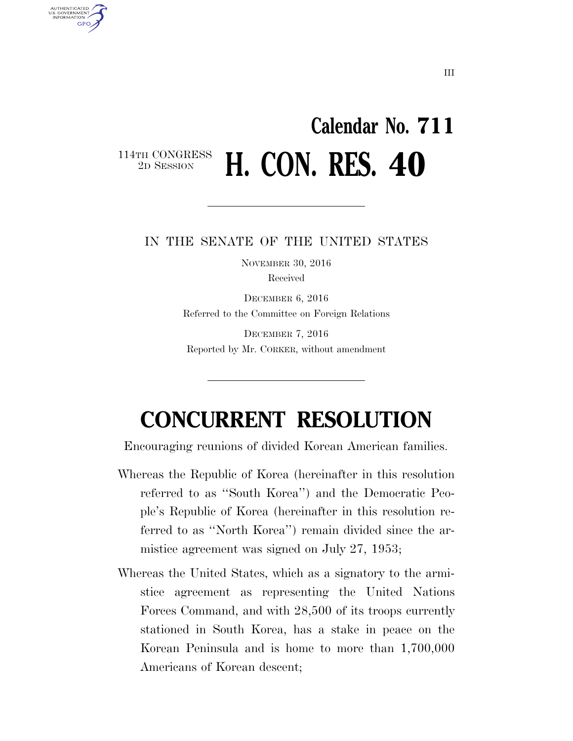## **Calendar No. 711**  114TH CONGRESS<br>2D SESSION **H. CON. RES. 40**

U.S. GOVERNMENT **GPO** 

## IN THE SENATE OF THE UNITED STATES

NOVEMBER 30, 2016 Received

DECEMBER 6, 2016 Referred to the Committee on Foreign Relations

DECEMBER 7, 2016 Reported by Mr. CORKER, without amendment

## **CONCURRENT RESOLUTION**

Encouraging reunions of divided Korean American families.

- Whereas the Republic of Korea (hereinafter in this resolution referred to as ''South Korea'') and the Democratic People's Republic of Korea (hereinafter in this resolution referred to as ''North Korea'') remain divided since the armistice agreement was signed on July 27, 1953;
- Whereas the United States, which as a signatory to the armistice agreement as representing the United Nations Forces Command, and with 28,500 of its troops currently stationed in South Korea, has a stake in peace on the Korean Peninsula and is home to more than 1,700,000 Americans of Korean descent;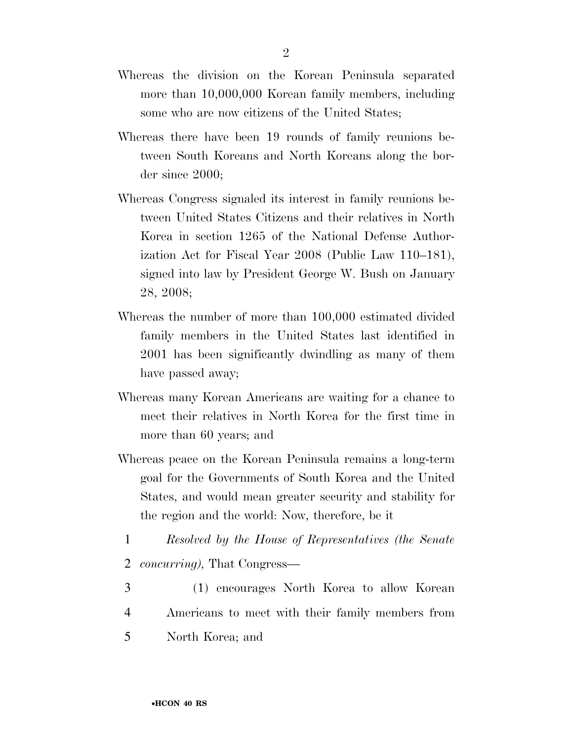- Whereas the division on the Korean Peninsula separated more than 10,000,000 Korean family members, including some who are now citizens of the United States;
- Whereas there have been 19 rounds of family reunions between South Koreans and North Koreans along the border since 2000;
- Whereas Congress signaled its interest in family reunions between United States Citizens and their relatives in North Korea in section 1265 of the National Defense Authorization Act for Fiscal Year 2008 (Public Law 110–181), signed into law by President George W. Bush on January 28, 2008;
- Whereas the number of more than 100,000 estimated divided family members in the United States last identified in 2001 has been significantly dwindling as many of them have passed away;
- Whereas many Korean Americans are waiting for a chance to meet their relatives in North Korea for the first time in more than 60 years; and
- Whereas peace on the Korean Peninsula remains a long-term goal for the Governments of South Korea and the United States, and would mean greater security and stability for the region and the world: Now, therefore, be it
	- 1 *Resolved by the House of Representatives (the Senate*  2 *concurring),* That Congress—
- 3 (1) encourages North Korea to allow Korean 4 Americans to meet with their family members from 5 North Korea; and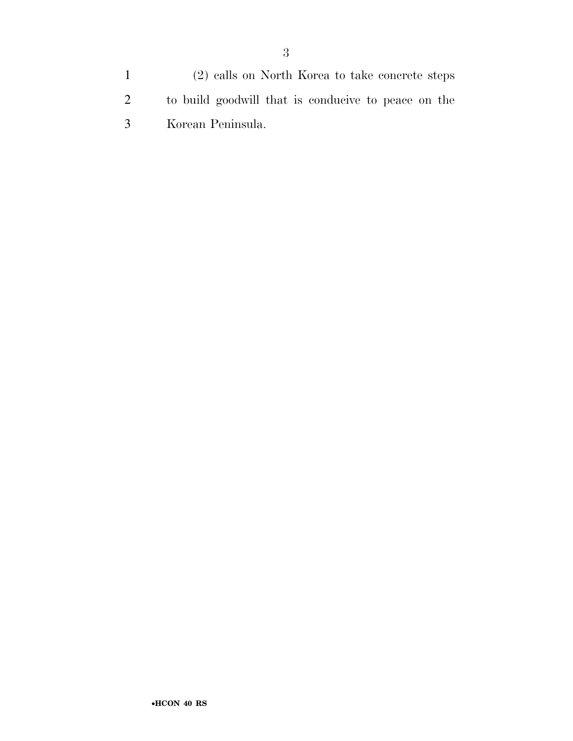(2) calls on North Korea to take concrete steps to build goodwill that is conducive to peace on the Korean Peninsula.